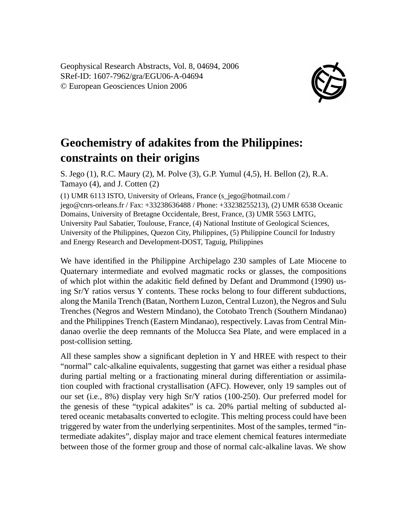Geophysical Research Abstracts, Vol. 8, 04694, 2006 SRef-ID: 1607-7962/gra/EGU06-A-04694 © European Geosciences Union 2006



## **Geochemistry of adakites from the Philippines: constraints on their origins**

S. Jego (1), R.C. Maury (2), M. Polve (3), G.P. Yumul (4,5), H. Bellon (2), R.A. Tamayo (4), and J. Cotten (2)

(1) UMR 6113 ISTO, University of Orleans, France (s\_jego@hotmail.com / jego@cnrs-orleans.fr / Fax: +33238636488 / Phone: +33238255213), (2) UMR 6538 Oceanic Domains, University of Bretagne Occidentale, Brest, France, (3) UMR 5563 LMTG, University Paul Sabatier, Toulouse, France, (4) National Institute of Geological Sciences, University of the Philippines, Quezon City, Philippines, (5) Philippine Council for Industry and Energy Research and Development-DOST, Taguig, Philippines

We have identified in the Philippine Archipelago 230 samples of Late Miocene to Quaternary intermediate and evolved magmatic rocks or glasses, the compositions of which plot within the adakitic field defined by Defant and Drummond (1990) using Sr/Y ratios versus Y contents. These rocks belong to four different subductions, along the Manila Trench (Batan, Northern Luzon, Central Luzon), the Negros and Sulu Trenches (Negros and Western Mindano), the Cotobato Trench (Southern Mindanao) and the Philippines Trench (Eastern Mindanao), respectively. Lavas from Central Mindanao overlie the deep remnants of the Molucca Sea Plate, and were emplaced in a post-collision setting.

All these samples show a significant depletion in Y and HREE with respect to their "normal" calc-alkaline equivalents, suggesting that garnet was either a residual phase during partial melting or a fractionating mineral during differentiation or assimilation coupled with fractional crystallisation (AFC). However, only 19 samples out of our set (i.e., 8%) display very high Sr/Y ratios (100-250). Our preferred model for the genesis of these "typical adakites" is ca. 20% partial melting of subducted altered oceanic metabasalts converted to eclogite. This melting process could have been triggered by water from the underlying serpentinites. Most of the samples, termed "intermediate adakites", display major and trace element chemical features intermediate between those of the former group and those of normal calc-alkaline lavas. We show